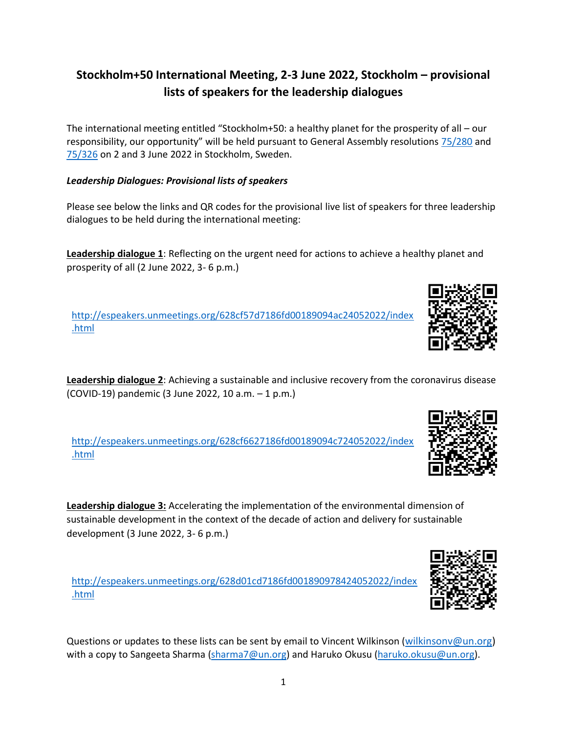## **Stockholm+50 International Meeting, 2-3 June 2022, Stockholm – provisional lists of speakers for the leadership dialogues**

The international meeting entitled "Stockholm+50: a healthy planet for the prosperity of all – our responsibility, our opportunity" will be held pursuant to General Assembly resolutions [75/280](https://undocs.org/A/RES/75/280) and [75/326](https://undocs.org/A/RES/75/326) on 2 and 3 June 2022 in Stockholm, Sweden.

## *Leadership Dialogues: Provisional lists of speakers*

Please see below the links and QR codes for the provisional live list of speakers for three leadership dialogues to be held during the international meeting:

**Leadership dialogue 1**: Reflecting on the urgent need for actions to achieve a healthy planet and prosperity of all (2 June 2022, 3- 6 p.m.)

[http://espeakers.unmeetings.org/628cf57d7186fd00189094ac24052022/index](http://espeakers.unmeetings.org/628cf57d7186fd00189094ac24052022/index.html) [.html](http://espeakers.unmeetings.org/628cf57d7186fd00189094ac24052022/index.html)

**Leadership dialogue 2**: Achieving a sustainable and inclusive recovery from the coronavirus disease (COVID-19) pandemic (3 June 2022, 10 a.m. – 1 p.m.)

[http://espeakers.unmeetings.org/628cf6627186fd00189094c724052022/index](http://espeakers.unmeetings.org/628cf6627186fd00189094c724052022/index.html) [.html](http://espeakers.unmeetings.org/628cf6627186fd00189094c724052022/index.html)

**Leadership dialogue 3:** Accelerating the implementation of the environmental dimension of sustainable development in the context of the decade of action and delivery for sustainable development (3 June 2022, 3- 6 p.m.)

[http://espeakers.unmeetings.org/628d01cd7186fd001890978424052022/index](http://espeakers.unmeetings.org/628d01cd7186fd001890978424052022/index.html) [.html](http://espeakers.unmeetings.org/628d01cd7186fd001890978424052022/index.html)

Questions or updates to these lists can be sent by email to Vincent Wilkinson ([wilkinsonv@un.org\)](mailto:wilkinsonv@un.org) with a copy to Sangeeta Sharma [\(sharma7@un.org\)](mailto:sharma7@un.org) and Haruko Okusu [\(haruko.okusu@un.org\)](mailto:haruko.okusu@un.org).